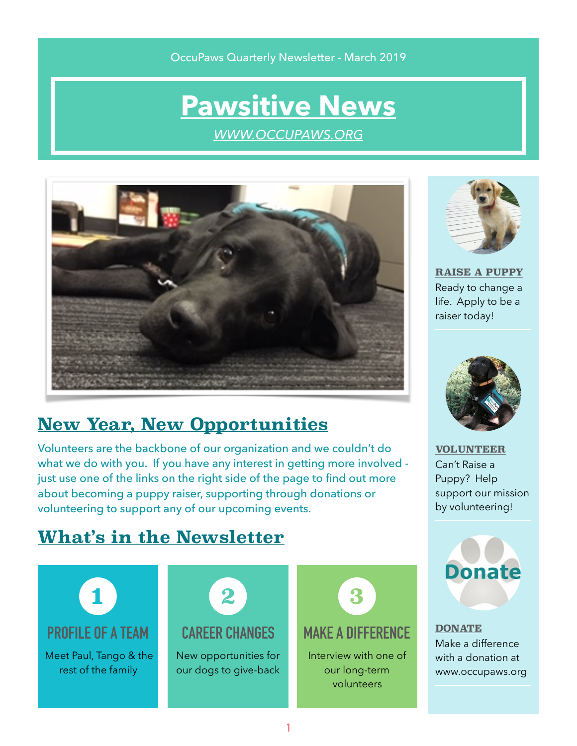#### OccuPaws Quarterly Newsletter - March 2019

# **[Pawsitive News](http://www.occupaws.org)**

*[WWW.OCCUPAWS.ORG](http://WWW.OCCUPAWS.ORG)*



# **New Year, New Opportunities**

Volunteers are the backbone of our organization and we couldn't do what we do with you. If you have any interest in getting more involved just use one of the links on the right side of the page to find out more about becoming a puppy raiser, supporting through donations or volunteering to support any of our upcoming events.



**[RAISE A PUPPY](https://occupaws.org/how-to-help/become-a-puppy-raiser/)** Ready to change a life. Apply to be a raiser today!



**[VOLUNTEER](https://occupaws.org/how-to-help/)** Can't Raise a Puppy? Help support our mission by volunteering!

### **What's in the Newsletter**





**[DONATE](https://occupaws.org/how-to-help/donate/)** Make a difference with a donation at www.occupaws.org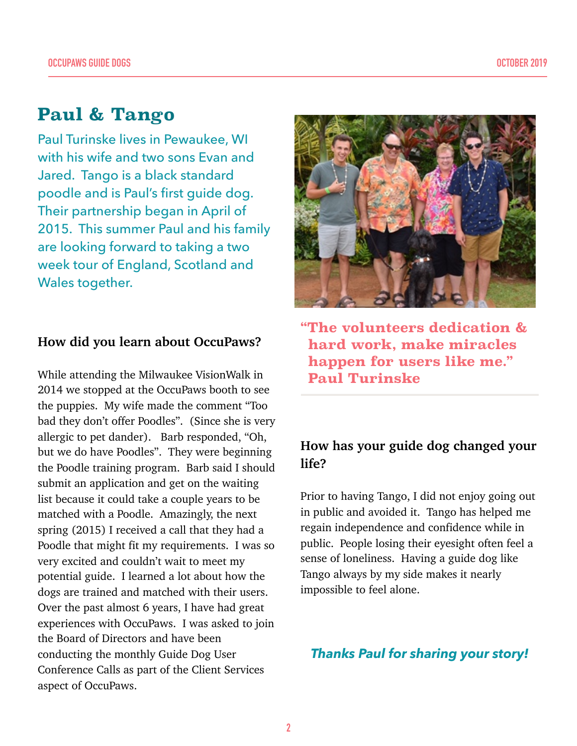### **Paul & Tango**

Paul Turinske lives in Pewaukee, WI with his wife and two sons Evan and Jared. Tango is a black standard poodle and is Paul's first guide dog. Their partnership began in April of 2015. This summer Paul and his family are looking forward to taking a two week tour of England, Scotland and Wales together.

#### **How did you learn about OccuPaws?**

While attending the Milwaukee VisionWalk in 2014 we stopped at the OccuPaws booth to see the puppies. My wife made the comment "Too bad they don't offer Poodles". (Since she is very allergic to pet dander). Barb responded, "Oh, but we do have Poodles". They were beginning the Poodle training program. Barb said I should submit an application and get on the waiting list because it could take a couple years to be matched with a Poodle. Amazingly, the next spring (2015) I received a call that they had a Poodle that might fit my requirements. I was so very excited and couldn't wait to meet my potential guide. I learned a lot about how the dogs are trained and matched with their users. Over the past almost 6 years, I have had great experiences with OccuPaws. I was asked to join the Board of Directors and have been conducting the monthly Guide Dog User Conference Calls as part of the Client Services aspect of OccuPaws.



**"The volunteers dedication & hard work, make miracles happen for users like me." Paul Turinske** 

### **How has your guide dog changed your life?**

Prior to having Tango, I did not enjoy going out in public and avoided it. Tango has helped me regain independence and confidence while in public. People losing their eyesight often feel a sense of loneliness. Having a guide dog like Tango always by my side makes it nearly impossible to feel alone.

#### *Thanks Paul for sharing your story!*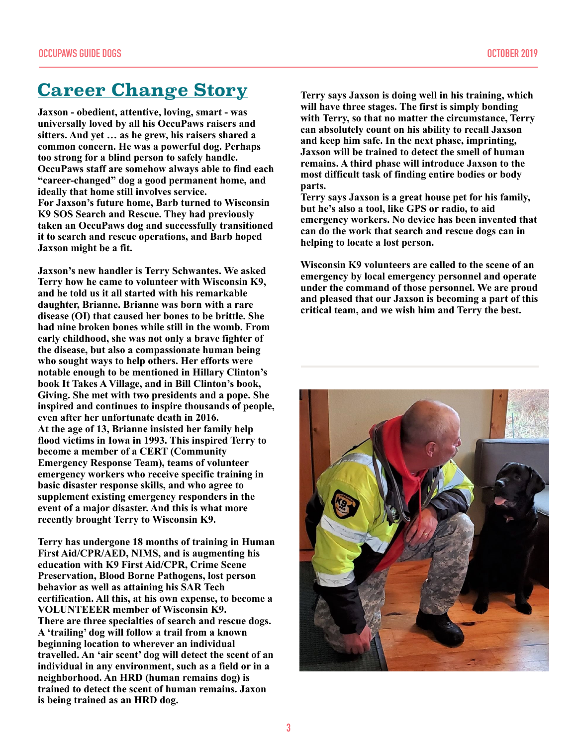# **Career Change Story**

**Jaxson - obedient, attentive, loving, smart - was universally loved by all his OccuPaws raisers and sitters. And yet … as he grew, his raisers shared a common concern. He was a powerful dog. Perhaps too strong for a blind person to safely handle. OccuPaws staff are somehow always able to find each "career-changed" dog a good permanent home, and ideally that home still involves service. For Jaxson's future home, Barb turned to Wisconsin K9 SOS Search and Rescue. They had previously taken an OccuPaws dog and successfully transitioned it to search and rescue operations, and Barb hoped Jaxson might be a fit.** 

**Jaxson's new handler is Terry Schwantes. We asked Terry how he came to volunteer with Wisconsin K9, and he told us it all started with his remarkable daughter, Brianne. Brianne was born with a rare disease (OI) that caused her bones to be brittle. She had nine broken bones while still in the womb. From early childhood, she was not only a brave fighter of the disease, but also a compassionate human being who sought ways to help others. Her efforts were notable enough to be mentioned in Hillary Clinton's book It Takes A Village, and in Bill Clinton's book, Giving. She met with two presidents and a pope. She inspired and continues to inspire thousands of people, even after her unfortunate death in 2016. At the age of 13, Brianne insisted her family help flood victims in Iowa in 1993. This inspired Terry to become a member of a CERT (Community Emergency Response Team), teams of volunteer emergency workers who receive specific training in basic disaster response skills, and who agree to supplement existing emergency responders in the event of a major disaster. And this is what more recently brought Terry to Wisconsin K9.** 

**Terry has undergone 18 months of training in Human First Aid/CPR/AED, NIMS, and is augmenting his education with K9 First Aid/CPR, Crime Scene Preservation, Blood Borne Pathogens, lost person behavior as well as attaining his SAR Tech certification. All this, at his own expense, to become a VOLUNTEEER member of Wisconsin K9. There are three specialties of search and rescue dogs. A 'trailing' dog will follow a trail from a known beginning location to wherever an individual travelled. An 'air scent' dog will detect the scent of an individual in any environment, such as a field or in a neighborhood. An HRD (human remains dog) is trained to detect the scent of human remains. Jaxon is being trained as an HRD dog.** 

**Terry says Jaxson is doing well in his training, which will have three stages. The first is simply bonding with Terry, so that no matter the circumstance, Terry can absolutely count on his ability to recall Jaxson and keep him safe. In the next phase, imprinting, Jaxson will be trained to detect the smell of human remains. A third phase will introduce Jaxson to the most difficult task of finding entire bodies or body parts.** 

**Terry says Jaxson is a great house pet for his family, but he's also a tool, like GPS or radio, to aid emergency workers. No device has been invented that can do the work that search and rescue dogs can in helping to locate a lost person.** 

**Wisconsin K9 volunteers are called to the scene of an emergency by local emergency personnel and operate under the command of those personnel. We are proud and pleased that our Jaxson is becoming a part of this critical team, and we wish him and Terry the best.** 

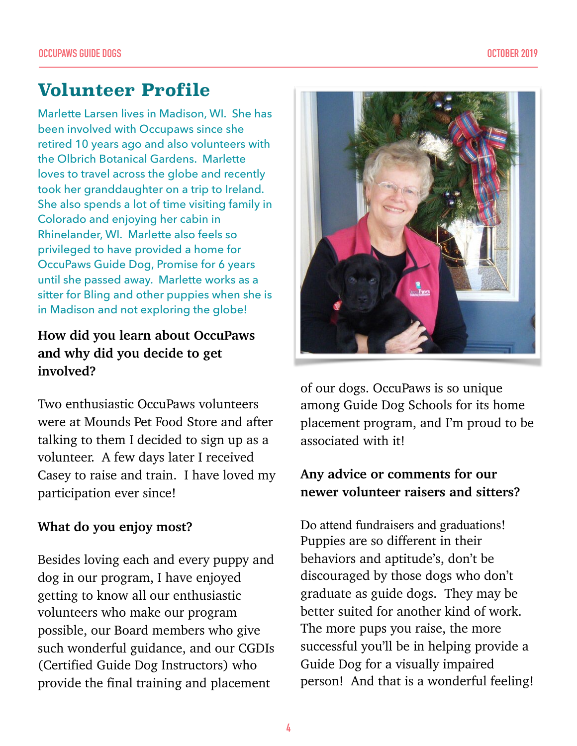# **Volunteer Profile**

Marlette Larsen lives in Madison, WI. She has been involved with Occupaws since she retired 10 years ago and also volunteers with the Olbrich Botanical Gardens. Marlette loves to travel across the globe and recently took her granddaughter on a trip to Ireland. She also spends a lot of time visiting family in Colorado and enjoying her cabin in Rhinelander, WI. Marlette also feels so privileged to have provided a home for OccuPaws Guide Dog, Promise for 6 years until she passed away. Marlette works as a sitter for Bling and other puppies when she is in Madison and not exploring the globe!

### **How did you learn about OccuPaws and why did you decide to get involved?**

Two enthusiastic OccuPaws volunteers were at Mounds Pet Food Store and after talking to them I decided to sign up as a volunteer. A few days later I received Casey to raise and train. I have loved my participation ever since!

#### **What do you enjoy most?**

Besides loving each and every puppy and dog in our program, I have enjoyed getting to know all our enthusiastic volunteers who make our program possible, our Board members who give such wonderful guidance, and our CGDIs (Certified Guide Dog Instructors) who provide the final training and placement



of our dogs. OccuPaws is so unique among Guide Dog Schools for its home placement program, and I'm proud to be associated with it!

### **Any advice or comments for our newer volunteer raisers and sitters?**

Do attend fundraisers and graduations! Puppies are so different in their behaviors and aptitude's, don't be discouraged by those dogs who don't graduate as guide dogs. They may be better suited for another kind of work. The more pups you raise, the more successful you'll be in helping provide a Guide Dog for a visually impaired person! And that is a wonderful feeling!